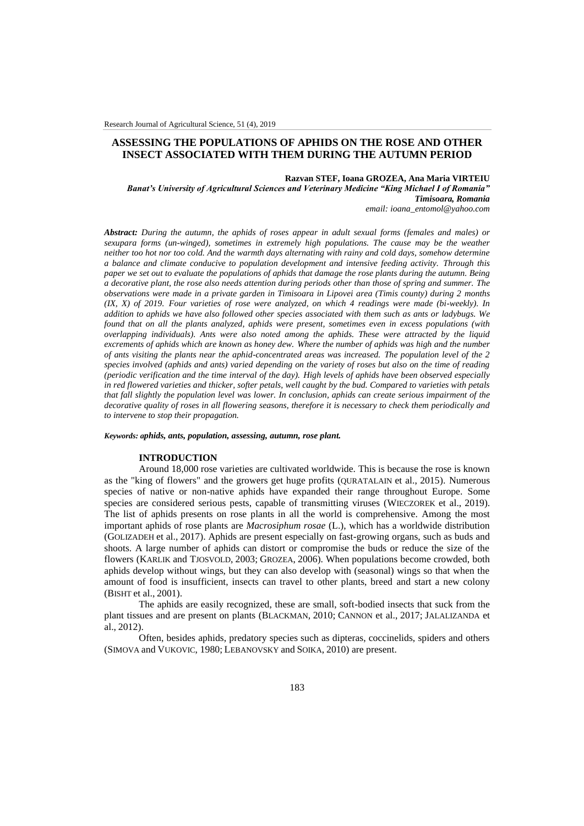# **ASSESSING THE POPULATIONS OF APHIDS ON THE ROSE AND OTHER INSECT ASSOCIATED WITH THEM DURING THE AUTUMN PERIOD**

### **Razvan STEF, Ioana GROZEA, Ana Maria VIRTEIU**

*Banat's University of Agricultural Sciences and Veterinary Medicine "King Michael I of Romania" Timisoara, Romania*

*email: ioana\_entomol@yahoo.com*

*Abstract: During the autumn, the aphids of roses appear in adult sexual forms (females and males) or sexupara forms (un-winged), sometimes in extremely high populations. The cause may be the weather neither too hot nor too cold. And the warmth days alternating with rainy and cold days, somehow determine a balance and climate conducive to population development and intensive feeding activity. Through this paper we set out to evaluate the populations of aphids that damage the rose plants during the autumn. Being a decorative plant, the rose also needs attention during periods other than those of spring and summer. The observations were made in a private garden in Timisoara in Lipovei area (Timis county) during 2 months (IX, X) of 2019. Four varieties of rose were analyzed, on which 4 readings were made (bi-weekly). In addition to aphids we have also followed other species associated with them such as ants or ladybugs. We found that on all the plants analyzed, aphids were present, sometimes even in excess populations (with overlapping individuals). Ants were also noted among the aphids. These were attracted by the liquid excrements of aphids which are known as honey dew. Where the number of aphids was high and the number of ants visiting the plants near the aphid-concentrated areas was increased. The population level of the 2 species involved (aphids and ants) varied depending on the variety of roses but also on the time of reading (periodic verification and the time interval of the day). High levels of aphids have been observed especially in red flowered varieties and thicker, softer petals, well caught by the bud. Compared to varieties with petals that fall slightly the population level was lower. In conclusion, aphids can create serious impairment of the decorative quality of roses in all flowering seasons, therefore it is necessary to check them periodically and to intervene to stop their propagation.*

#### *Keywords: aphids, ants, population, assessing, autumn, rose plant.*

# **INTRODUCTION**

Around 18,000 rose varieties are cultivated worldwide. This is because the rose is known as the "king of flowers" and the growers get huge profits (QURATALAIN et al., 2015). Numerous species of native or non-native aphids have expanded their range throughout Europe. Some species are considered serious pests, capable of transmitting viruses (WIECZOREK et al., 2019). The list of aphids presents on rose plants in all the world is comprehensive. Among the most important aphids of rose plants are *Macrosiphum rosae* (L.), which has a worldwide distribution (GOLIZADEH et al., 2017). Aphids are present especially on fast-growing organs, such as buds and shoots. A large number of aphids can distort or compromise the buds or reduce the size of the flowers (KARLIK and TJOSVOLD, 2003; GROZEA, 2006). When populations become crowded, both aphids develop without wings, but they can also develop with (seasonal) wings so that when the amount of food is insufficient, insects can travel to other plants, breed and start a new colony (BISHT et al., 2001).

The aphids are easily recognized, these are small, soft-bodied insects that suck from the plant tissues and are present on plants (BLACKMAN, 2010; CANNON et al., 2017; JALALIZANDA et al., 2012).

Often, besides aphids, predatory species such as dipteras, coccinelids, spiders and others (SIMOVA and VUKOVIC, 1980; LEBANOVSKY and SOIKA, 2010) are present.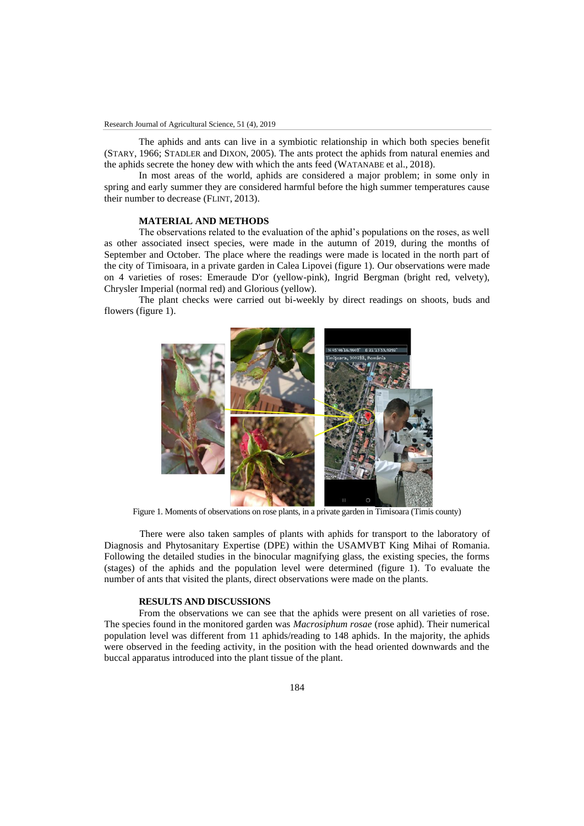The aphids and ants can live in a symbiotic relationship in which both species benefit (STARY, 1966; STADLER and DIXON, 2005). The ants protect the aphids from natural enemies and the aphids secrete the honey dew with which the ants feed (WATANABE et al., 2018).

In most areas of the world, aphids are considered a major problem; in some only in spring and early summer they are considered harmful before the high summer temperatures cause their number to decrease (FLINT, 2013).

### **MATERIAL AND METHODS**

The observations related to the evaluation of the aphid's populations on the roses, as well as other associated insect species, were made in the autumn of 2019, during the months of September and October. The place where the readings were made is located in the north part of the city of Timisoara, in a private garden in Calea Lipovei (figure 1). Our observations were made on 4 varieties of roses: Emeraude D'or (yellow-pink), Ingrid Bergman (bright red, velvety), Chrysler Imperial (normal red) and Glorious (yellow).

The plant checks were carried out bi-weekly by direct readings on shoots, buds and flowers (figure 1).



Figure 1. Moments of observations on rose plants, in a private garden in Timisoara (Timis county)

There were also taken samples of plants with aphids for transport to the laboratory of Diagnosis and Phytosanitary Expertise (DPE) within the USAMVBT King Mihai of Romania. Following the detailed studies in the binocular magnifying glass, the existing species, the forms (stages) of the aphids and the population level were determined (figure 1). To evaluate the number of ants that visited the plants, direct observations were made on the plants.

### **RESULTS AND DISCUSSIONS**

From the observations we can see that the aphids were present on all varieties of rose. The species found in the monitored garden was *Macrosiphum rosae* (rose aphid). Their numerical population level was different from 11 aphids/reading to 148 aphids. In the majority, the aphids were observed in the feeding activity, in the position with the head oriented downwards and the buccal apparatus introduced into the plant tissue of the plant.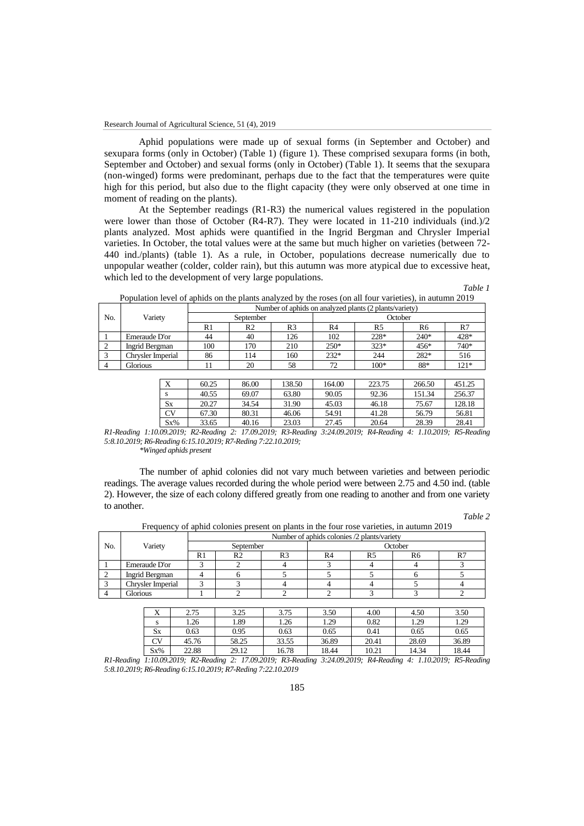Aphid populations were made up of sexual forms (in September and October) and sexupara forms (only in October) (Table 1) (figure 1). These comprised sexupara forms (in both, September and October) and sexual forms (only in October) (Table 1). It seems that the sexupara (non-winged) forms were predominant, perhaps due to the fact that the temperatures were quite high for this period, but also due to the flight capacity (they were only observed at one time in moment of reading on the plants).

At the September readings (R1-R3) the numerical values registered in the population were lower than those of October (R4-R7). They were located in 11-210 individuals (ind.)/2 plants analyzed. Most aphids were quantified in the Ingrid Bergman and Chrysler Imperial varieties. In October, the total values were at the same but much higher on varieties (between 72- 440 ind./plants) (table 1). As a rule, in October, populations decrease numerically due to unpopular weather (colder, colder rain), but this autumn was more atypical due to excessive heat, which led to the development of very large populations.

*Table 1* Population level of aphids on the plants analyzed by the roses (on all four varieties), in autumn 2019

|     |                   | Number of aphids on analyzed plants (2 plants/variety) |           |     |         |        |        |        |  |  |
|-----|-------------------|--------------------------------------------------------|-----------|-----|---------|--------|--------|--------|--|--|
| No. | Variety           |                                                        | September |     | October |        |        |        |  |  |
|     |                   | R1                                                     | R2        | R3  | R4      | R5     | R6     | R.     |  |  |
|     | Emeraude D'or     | 44                                                     | 40        | 126 | 102     | 228*   | $240*$ | 428*   |  |  |
|     | Ingrid Bergman    | 100                                                    | 170       | 210 | $250*$  | $323*$ | $456*$ | 740*   |  |  |
|     | Chrvsler Imperial | 86                                                     | .14       | 160 | $232*$  | 244    | 282*   | 516    |  |  |
|     | Glorious          |                                                        | 20        | 58  | 72      | $100*$ | 88*    | $121*$ |  |  |

| △         | 60.25 | 86.00 | 138.50 | 164.00 | 223.75 | 266.50 | 451.25 |
|-----------|-------|-------|--------|--------|--------|--------|--------|
| S         | 40.55 | 69.07 | 63.80  | 90.05  | 92.36  | 151.34 | 256.37 |
| <b>Sx</b> | 20.27 | 34.54 | 31.90  | 45.03  | 46.18  | 75.67  | 128.18 |
| CV        | 67.30 | 80.31 | 46.06  | 54.91  | 41.28  | 56.79  | 56.81  |
| $Sx\%$    | 33.65 | 40.16 | 23.03  | 27.45  | 20.64  | 28.39  | 28.41  |

*R1-Reading 1:10.09.2019; R2-Reading 2: 17.09.2019; R3-Reading 3:24.09.2019; R4-Reading 4: 1.10.2019; R5-Reading 5:8.10.2019; R6-Reading 6:15.10.2019; R7-Reding 7:22.10.2019;*

*\*Winged aphids present*

The number of aphid colonies did not vary much between varieties and between periodic readings. The average values recorded during the whole period were between 2.75 and 4.50 ind. (table 2). However, the size of each colony differed greatly from one reading to another and from one variety to another.

*Table 2*

|     | Variety           | Number of aphids colonies /2 plants/variety |    |                |         |    |    |    |  |  |
|-----|-------------------|---------------------------------------------|----|----------------|---------|----|----|----|--|--|
| No. |                   | September                                   |    |                | October |    |    |    |  |  |
|     |                   | R1                                          | R2 | R <sub>3</sub> | R4      | R5 | R6 | R7 |  |  |
|     | Emeraude D'or     |                                             |    |                |         |    |    |    |  |  |
|     | Ingrid Bergman    |                                             |    |                |         |    |    |    |  |  |
|     | Chrysler Imperial |                                             |    |                |         |    |    |    |  |  |
|     | Glorious          |                                             |    |                |         |    |    |    |  |  |
|     |                   |                                             |    |                |         |    |    |    |  |  |

Frequency of aphid colonies present on plants in the four rose varieties, in autumn 2019

| v<br>$\Lambda$ | 2.75  | 3.25  | 3.75  | 3.50  | 4.00  | 4.50  | 3.50  |
|----------------|-------|-------|-------|-------|-------|-------|-------|
| S              | . 26  | 1.89  | . 26  | 1.29  | 0.82  | 1.29  | 1.29  |
| <b>Sx</b>      | 0.63  | 0.95  | 0.63  | 0.65  | 0.41  | 0.65  | 0.65  |
| CV             | 45.76 | 58.25 | 33.55 | 36.89 | 20.41 | 28.69 | 36.89 |
| $Sx\%$         | 22.88 | 29.12 | 16.78 | 18.44 | 10.21 | 14.34 | 18.44 |

*R1-Reading 1:10.09.2019; R2-Reading 2: 17.09.2019; R3-Reading 3:24.09.2019; R4-Reading 4: 1.10.2019; R5-Reading 5:8.10.2019; R6-Reading 6:15.10.2019; R7-Reding 7:22.10.2019*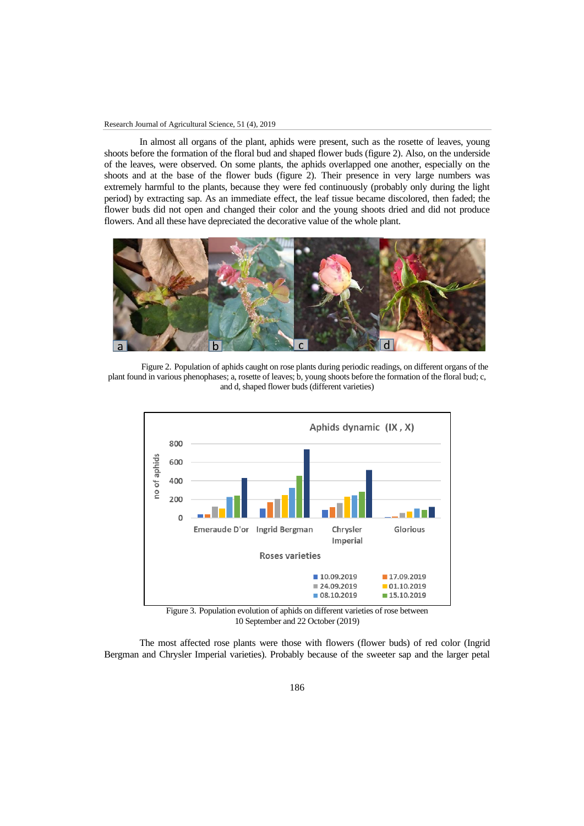#### Research Journal of Agricultural Science, 51 (4), 2019

In almost all organs of the plant, aphids were present, such as the rosette of leaves, young shoots before the formation of the floral bud and shaped flower buds (figure 2). Also, on the underside of the leaves, were observed. On some plants, the aphids overlapped one another, especially on the shoots and at the base of the flower buds (figure 2). Their presence in very large numbers was extremely harmful to the plants, because they were fed continuously (probably only during the light period) by extracting sap. As an immediate effect, the leaf tissue became discolored, then faded; the flower buds did not open and changed their color and the young shoots dried and did not produce flowers. And all these have depreciated the decorative value of the whole plant.



Figure 2. Population of aphids caught on rose plants during periodic readings, on different organs of the plant found in various phenophases; a, rosette of leaves; b, young shoots before the formation of the floral bud; c, and d, shaped flower buds (different varieties)



Figure 3. Population evolution of aphids on different varieties of rose between 10 September and 22 October (2019)

The most affected rose plants were those with flowers (flower buds) of red color (Ingrid Bergman and Chrysler Imperial varieties). Probably because of the sweeter sap and the larger petal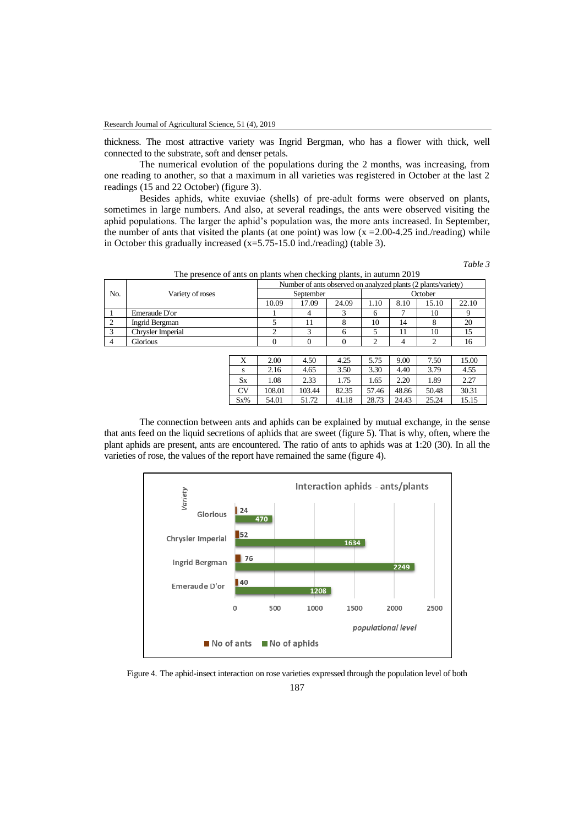thickness. The most attractive variety was Ingrid Bergman, who has a flower with thick, well connected to the substrate, soft and denser petals.

The numerical evolution of the populations during the 2 months, was increasing, from one reading to another, so that a maximum in all varieties was registered in October at the last 2 readings (15 and 22 October) (figure 3).

Besides aphids, white exuviae (shells) of pre-adult forms were observed on plants, sometimes in large numbers. And also, at several readings, the ants were observed visiting the aphid populations. The larger the aphid's population was, the more ants increased. In September, the number of ants that visited the plants (at one point) was low  $(x = 2.00 - 4.25)$  ind./reading) while in October this gradually increased (x=5.75-15.0 ind./reading) (table 3).

*Table 3*

| The presence of ants on plants when checking plants, in autumn 2019 |  |
|---------------------------------------------------------------------|--|
|---------------------------------------------------------------------|--|

|     | The presence of ants on plants when enceking plants, in autumn 2017 |  |                                                               |         |              |      |      |       |       |  |  |
|-----|---------------------------------------------------------------------|--|---------------------------------------------------------------|---------|--------------|------|------|-------|-------|--|--|
|     | Variety of roses                                                    |  | Number of ants observed on analyzed plants (2 plants/variety) |         |              |      |      |       |       |  |  |
| No. |                                                                     |  |                                                               | October |              |      |      |       |       |  |  |
|     |                                                                     |  | 10.09                                                         | 17.09   | 24.09        | 1.10 | 8.10 | 15.10 | 22.10 |  |  |
|     | Emeraude D'or                                                       |  |                                                               |         |              |      |      | 10    |       |  |  |
|     | Ingrid Bergman                                                      |  |                                                               | 11      |              | 10   | 14   |       | 20    |  |  |
|     | Chrysler Imperial                                                   |  |                                                               |         |              |      | 11   | 10    | 15    |  |  |
|     | Glorious                                                            |  |                                                               |         |              |      |      |       | 16    |  |  |
|     |                                                                     |  |                                                               |         |              |      |      |       |       |  |  |
|     |                                                                     |  | 200                                                           | 4.50    | $\Lambda$ 25 | 575  | 0.00 | 750   | 1500  |  |  |

| л         | 2.00   | 4.50   | 4.25  | 5.75  | 9.00  | 7.50  | 15.00 |
|-----------|--------|--------|-------|-------|-------|-------|-------|
| S         | 2.16   | 4.65   | 3.50  | 3.30  | 4.40  | 3.79  | 4.55  |
| <b>Sx</b> | 1.08   | 2.33   | 1.75  | 1.65  | 2.20  | 1.89  | 2.27  |
| <b>CV</b> | 108.01 | 103.44 | 82.35 | 57.46 | 48.86 | 50.48 | 30.31 |
| $Sx\%$    | 54.01  | 51.72  | 41.18 | 28.73 | 24.43 | 25.24 | 15.15 |

The connection between ants and aphids can be explained by mutual exchange, in the sense that ants feed on the liquid secretions of aphids that are sweet (figure 5). That is why, often, where the plant aphids are present, ants are encountered. The ratio of ants to aphids was at 1:20 (30). In all the varieties of rose, the values of the report have remained the same (figure 4).



Figure 4. The aphid-insect interaction on rose varieties expressed through the population level of both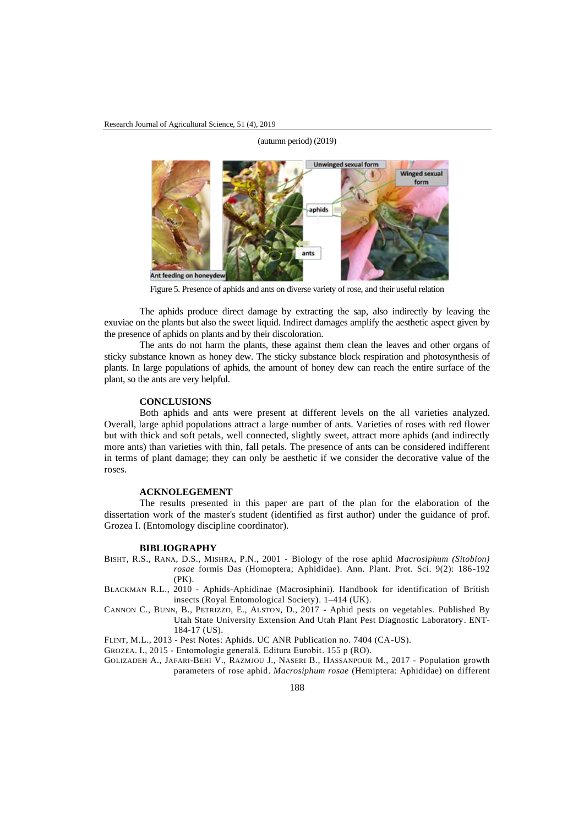

(autumn period) (2019)

Figure 5. Presence of aphids and ants on diverse variety of rose, and their useful relation

The aphids produce direct damage by extracting the sap, also indirectly by leaving the exuviae on the plants but also the sweet liquid. Indirect damages amplify the aesthetic aspect given by the presence of aphids on plants and by their discoloration.

The ants do not harm the plants, these against them clean the leaves and other organs of sticky substance known as honey dew. The sticky substance block respiration and photosynthesis of plants. In large populations of aphids, the amount of honey dew can reach the entire surface of the plant, so the ants are very helpful.

# **CONCLUSIONS**

Both aphids and ants were present at different levels on the all varieties analyzed. Overall, large aphid populations attract a large number of ants. Varieties of roses with red flower but with thick and soft petals, well connected, slightly sweet, attract more aphids (and indirectly more ants) than varieties with thin, fall petals. The presence of ants can be considered indifferent in terms of plant damage; they can only be aesthetic if we consider the decorative value of the roses.

# **ACKNOLEGEMENT**

The results presented in this paper are part of the plan for the elaboration of the dissertation work of the master's student (identified as first author) under the guidance of prof. Grozea I. (Entomology discipline coordinator).

#### **BIBLIOGRAPHY**

- BISHT, R.S., RANA, D.S., MISHRA, P.N., 2001 Biology of the rose aphid *Macrosiphum (Sitobion) rosae* formis Das (Homoptera; Aphididae). Ann. Plant. Prot. Sci. 9(2): 186-192 (PK).
- BLACKMAN R.L., 2010 Aphids-Aphidinae (Macrosiphini). Handbook for identification of British insects (Royal Entomological Society). 1–414 (UK).
- CANNON C., BUNN, B., PETRIZZO, E., ALSTON, D., 2017 Aphid pests on vegetables. Published By Utah State University Extension And Utah Plant Pest Diagnostic Laboratory. ENT-184-17 (US).

FLINT, M.L., 2013 - Pest Notes: Aphids. UC ANR Publication no. 7404 (CA-US).

GROZEA. I., 2015 - Entomologie generală. Editura Eurobit. 155 p (RO).

GOLIZADEH A., JAFARI-BEHI V., RAZMJOU J., NASERI B., HASSANPOUR M., 2017 - Population growth parameters of rose aphid. *Macrosiphum rosae* (Hemiptera: Aphididae) on different